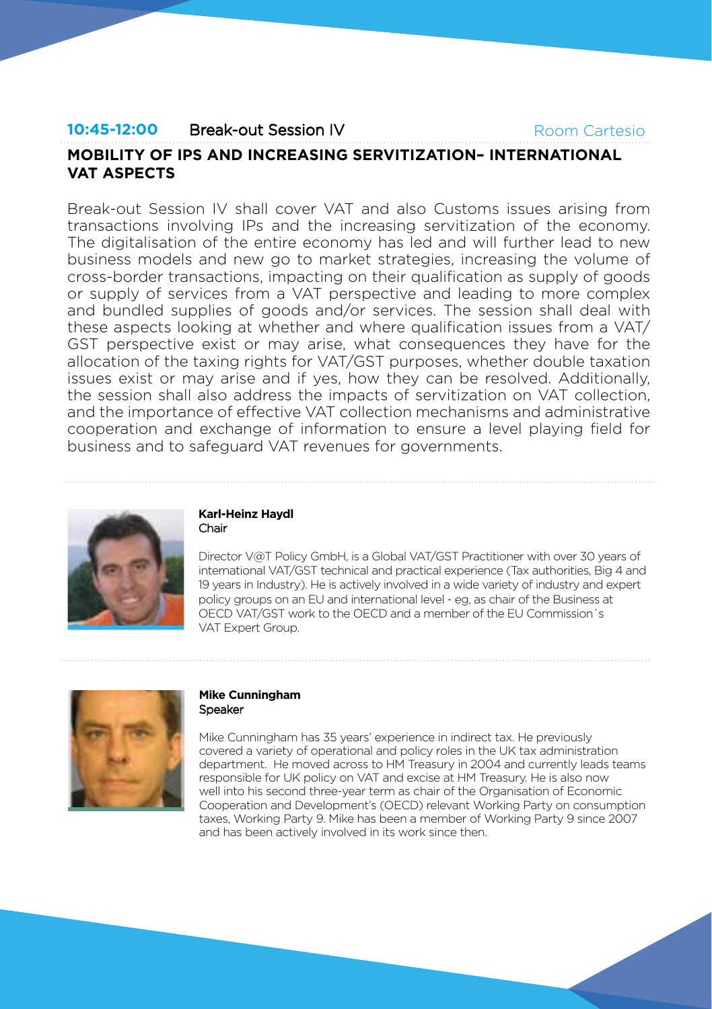## **10:45-12:00** Break-out Session IV

Room Cartesio

# **MOBILITY OF IPS AND INCREASING SERVITIZATION– INTERNATIONAL VAT ASPECTS**

Break-out Session IV shall cover VAT and also Customs issues arising from transactions involving IPs and the increasing servitization of the economy. The digitalisation of the entire economy has led and will further lead to new business models and new go to market strategies, increasing the volume of cross-border transactions, impacting on their qualification as supply of goods or supply of services from a VAT perspective and leading to more complex and bundled supplies of goods and/or services. The session shall deal with these aspects looking at whether and where qualification issues from a VAT/ GST perspective exist or may arise, what consequences they have for the allocation of the taxing rights for VAT/GST purposes, whether double taxation issues exist or may arise and if yes, how they can be resolved. Additionally, the session shall also address the impacts of servitization on VAT collection, and the importance of effective VAT collection mechanisms and administrative cooperation and exchange of information to ensure a level playing field for business and to safeguard VAT revenues for governments.



#### **Karl-Heinz Haydl** Chair

Director V@T Policy GmbH, is a Global VAT/GST Practitioner with over 30 years of international VAT/GST technical and practical experience (Tax authorities, Big 4 and 19 years in Industry). He is actively involved in a wide variety of industry and expert policy groups on an EU and international level - eg, as chair of the Business at OECD VAT/GST work to the OECD and a member of the EU Commission´s VAT Expert Group.



## **Mike Cunningham Speaker**

Mike Cunningham has 35 years' experience in indirect tax. He previously covered a variety of operational and policy roles in the UK tax administration department. He moved across to HM Treasury in 2004 and currently leads teams responsible for UK policy on VAT and excise at HM Treasury. He is also now well into his second three-year term as chair of the Organisation of Economic Cooperation and Development's (OECD) relevant Working Party on consumption taxes, Working Party 9. Mike has been a member of Working Party 9 since 2007 and has been actively involved in its work since then.